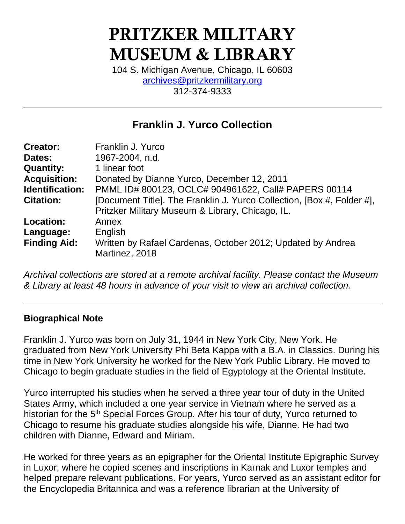# PRITZKER MILITARY MUSEUM & LIBRARY

104 S. Michigan Avenue, Chicago, IL 60603 [archives@pritzkermilitary.org](mailto:archives@pritzkermilitary.org) 312-374-9333

## **Franklin J. Yurco Collection**

| Franklin J. Yurco                                                                                                          |
|----------------------------------------------------------------------------------------------------------------------------|
| 1967-2004, n.d.                                                                                                            |
| 1 linear foot                                                                                                              |
| Donated by Dianne Yurco, December 12, 2011                                                                                 |
| PMML ID# 800123, OCLC# 904961622, Call# PAPERS 00114                                                                       |
| [Document Title]. The Franklin J. Yurco Collection, [Box #, Folder #],<br>Pritzker Military Museum & Library, Chicago, IL. |
| Annex<br>English<br>Written by Rafael Cardenas, October 2012; Updated by Andrea<br>Martinez, 2018                          |
|                                                                                                                            |

*Archival collections are stored at a remote archival facility. Please contact the Museum & Library at least 48 hours in advance of your visit to view an archival collection.*

## **Biographical Note**

Franklin J. Yurco was born on July 31, 1944 in New York City, New York. He graduated from New York University Phi Beta Kappa with a B.A. in Classics. During his time in New York University he worked for the New York Public Library. He moved to Chicago to begin graduate studies in the field of Egyptology at the Oriental Institute.

Yurco interrupted his studies when he served a three year tour of duty in the United States Army, which included a one year service in Vietnam where he served as a historian for the 5<sup>th</sup> Special Forces Group. After his tour of duty, Yurco returned to Chicago to resume his graduate studies alongside his wife, Dianne. He had two children with Dianne, Edward and Miriam.

He worked for three years as an epigrapher for the Oriental Institute Epigraphic Survey in Luxor, where he copied scenes and inscriptions in Karnak and Luxor temples and helped prepare relevant publications. For years, Yurco served as an assistant editor for the Encyclopedia Britannica and was a reference librarian at the University of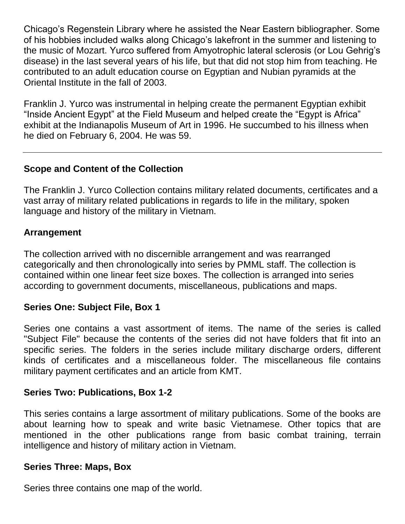Chicago's Regenstein Library where he assisted the Near Eastern bibliographer. Some of his hobbies included walks along Chicago's lakefront in the summer and listening to the music of Mozart. Yurco suffered from Amyotrophic lateral sclerosis (or Lou Gehrig's disease) in the last several years of his life, but that did not stop him from teaching. He contributed to an adult education course on Egyptian and Nubian pyramids at the Oriental Institute in the fall of 2003.

Franklin J. Yurco was instrumental in helping create the permanent Egyptian exhibit "Inside Ancient Egypt" at the Field Museum and helped create the "Egypt is Africa" exhibit at the Indianapolis Museum of Art in 1996. He succumbed to his illness when he died on February 6, 2004. He was 59.

## **Scope and Content of the Collection**

The Franklin J. Yurco Collection contains military related documents, certificates and a vast array of military related publications in regards to life in the military, spoken language and history of the military in Vietnam.

## **Arrangement**

The collection arrived with no discernible arrangement and was rearranged categorically and then chronologically into series by PMML staff. The collection is contained within one linear feet size boxes. The collection is arranged into series according to government documents, miscellaneous, publications and maps.

## **Series One: Subject File, Box 1**

Series one contains a vast assortment of items. The name of the series is called "Subject File" because the contents of the series did not have folders that fit into an specific series. The folders in the series include military discharge orders, different kinds of certificates and a miscellaneous folder. The miscellaneous file contains military payment certificates and an article from KMT.

## **Series Two: Publications, Box 1-2**

This series contains a large assortment of military publications. Some of the books are about learning how to speak and write basic Vietnamese. Other topics that are mentioned in the other publications range from basic combat training, terrain intelligence and history of military action in Vietnam.

#### **Series Three: Maps, Box**

Series three contains one map of the world.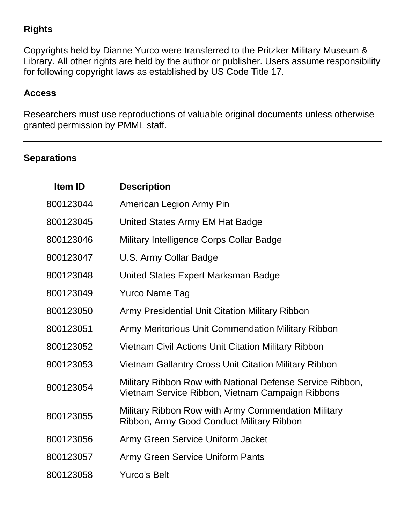## **Rights**

Copyrights held by Dianne Yurco were transferred to the Pritzker Military Museum & Library. All other rights are held by the author or publisher. Users assume responsibility for following copyright laws as established by US Code Title 17.

## **Access**

Researchers must use reproductions of valuable original documents unless otherwise granted permission by PMML staff.

## **Separations**

| Item ID   | <b>Description</b>                                                                                            |
|-----------|---------------------------------------------------------------------------------------------------------------|
| 800123044 | American Legion Army Pin                                                                                      |
| 800123045 | United States Army EM Hat Badge                                                                               |
| 800123046 | Military Intelligence Corps Collar Badge                                                                      |
| 800123047 | U.S. Army Collar Badge                                                                                        |
| 800123048 | United States Expert Marksman Badge                                                                           |
| 800123049 | <b>Yurco Name Tag</b>                                                                                         |
| 800123050 | <b>Army Presidential Unit Citation Military Ribbon</b>                                                        |
| 800123051 | Army Meritorious Unit Commendation Military Ribbon                                                            |
| 800123052 | Vietnam Civil Actions Unit Citation Military Ribbon                                                           |
| 800123053 | <b>Vietnam Gallantry Cross Unit Citation Military Ribbon</b>                                                  |
| 800123054 | Military Ribbon Row with National Defense Service Ribbon,<br>Vietnam Service Ribbon, Vietnam Campaign Ribbons |
| 800123055 | Military Ribbon Row with Army Commendation Military<br>Ribbon, Army Good Conduct Military Ribbon              |
| 800123056 | Army Green Service Uniform Jacket                                                                             |
| 800123057 | <b>Army Green Service Uniform Pants</b>                                                                       |
| 800123058 | <b>Yurco's Belt</b>                                                                                           |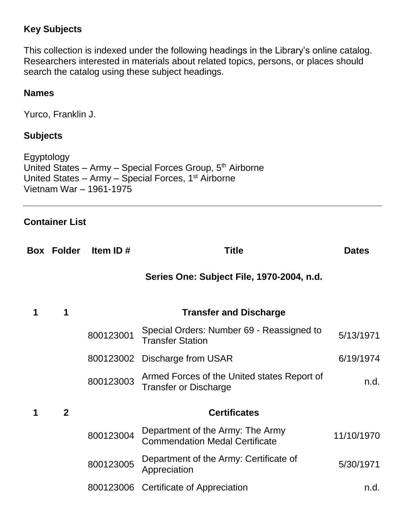## **Key Subjects**

This collection is indexed under the following headings in the Library's online catalog. Researchers interested in materials about related topics, persons, or places should search the catalog using these subject headings.

## **Names**

Yurco, Franklin J.

## **Subjects**

Egyptology United States – Army – Special Forces Group,  $5<sup>th</sup>$  Airborne United States – Army – Special Forces,  $1<sup>st</sup>$  Airborne Vietnam War – 1961-1975

## **Container List**

|              | Item ID $#$                   | <b>Title</b>                                                                | <b>Dates</b>                             |
|--------------|-------------------------------|-----------------------------------------------------------------------------|------------------------------------------|
|              |                               | Series One: Subject File, 1970-2004, n.d.                                   |                                          |
| 1            | <b>Transfer and Discharge</b> |                                                                             |                                          |
|              | 800123001                     | Special Orders: Number 69 - Reassigned to<br><b>Transfer Station</b>        | 5/13/1971                                |
|              |                               | <b>Discharge from USAR</b>                                                  | 6/19/1974                                |
|              | 800123003                     | Armed Forces of the United states Report of<br><b>Transfer or Discharge</b> | n.d.                                     |
| $\mathbf{2}$ |                               | <b>Certificates</b>                                                         |                                          |
|              | 800123004                     | Department of the Army: The Army<br><b>Commendation Medal Certificate</b>   | 11/10/1970                               |
|              | 800123005                     | Department of the Army: Certificate of<br>Appreciation                      | 5/30/1971                                |
|              | 800123006                     |                                                                             | n.d.                                     |
|              | <b>Box Folder</b>             |                                                                             | 800123002<br>Certificate of Appreciation |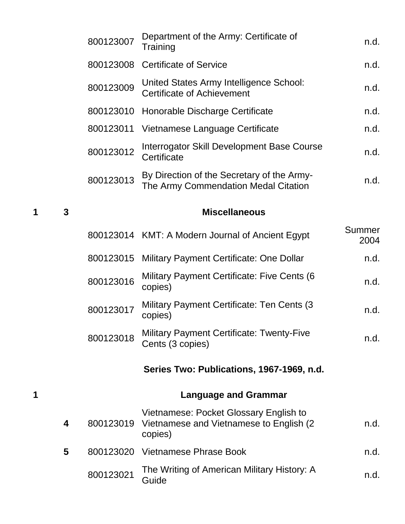|   |              | 800123007 | Department of the Army: Certificate of<br>n.d.<br>Training                                    |                       |
|---|--------------|-----------|-----------------------------------------------------------------------------------------------|-----------------------|
|   |              | 800123008 | <b>Certificate of Service</b>                                                                 | n.d.                  |
|   |              | 800123009 | United States Army Intelligence School:<br><b>Certificate of Achievement</b>                  | n.d.                  |
|   |              | 800123010 | Honorable Discharge Certificate                                                               | n.d.                  |
|   |              | 800123011 | Vietnamese Language Certificate                                                               | n.d.                  |
|   |              | 800123012 | Interrogator Skill Development Base Course<br>Certificate                                     | n.d.                  |
|   |              | 800123013 | By Direction of the Secretary of the Army-<br>The Army Commendation Medal Citation            | n.d.                  |
| 1 | $\mathbf{3}$ |           | <b>Miscellaneous</b>                                                                          |                       |
|   |              |           | 800123014 KMT: A Modern Journal of Ancient Egypt                                              | <b>Summer</b><br>2004 |
|   |              | 800123015 | Military Payment Certificate: One Dollar                                                      | n.d.                  |
|   |              | 800123016 | Military Payment Certificate: Five Cents (6<br>copies)                                        | n.d.                  |
|   |              | 800123017 | <b>Military Payment Certificate: Ten Cents (3)</b><br>copies)                                 | n.d.                  |
|   |              | 800123018 | <b>Military Payment Certificate: Twenty-Five</b><br>Cents (3 copies)                          | n.d.                  |
|   |              |           | Series Two: Publications, 1967-1969, n.d.                                                     |                       |
| 1 |              |           | <b>Language and Grammar</b>                                                                   |                       |
|   | 4            | 800123019 | Vietnamese: Pocket Glossary English to<br>Vietnamese and Vietnamese to English (2)<br>copies) | n.d.                  |
|   | 5            |           | 800123020 Vietnamese Phrase Book                                                              | n.d.                  |
|   |              | 800123021 | The Writing of American Military History: A<br>n.d.<br>Guide                                  |                       |
|   |              |           |                                                                                               |                       |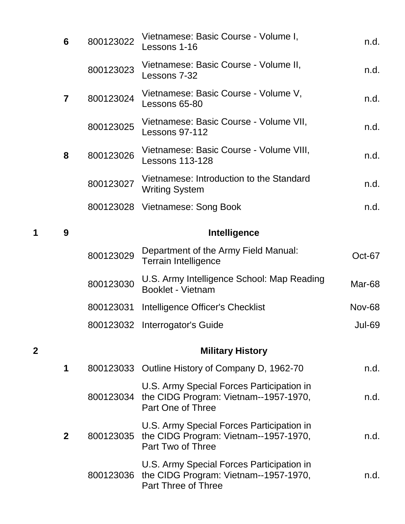|        | 6              | 800123022 | Vietnamese: Basic Course - Volume I,<br>n.d.<br>Lessons 1-16                                                      |               |
|--------|----------------|-----------|-------------------------------------------------------------------------------------------------------------------|---------------|
|        |                | 800123023 | Vietnamese: Basic Course - Volume II,<br>Lessons 7-32                                                             | n.d.          |
|        | $\overline{7}$ | 800123024 | Vietnamese: Basic Course - Volume V,<br>Lessons 65-80                                                             | n.d.          |
|        |                | 800123025 | Vietnamese: Basic Course - Volume VII,<br><b>Lessons 97-112</b>                                                   | n.d.          |
|        | 8              | 800123026 | Vietnamese: Basic Course - Volume VIII,<br><b>Lessons 113-128</b>                                                 | n.d.          |
|        |                | 800123027 | Vietnamese: Introduction to the Standard<br><b>Writing System</b>                                                 | n.d.          |
|        |                |           | 800123028 Vietnamese: Song Book                                                                                   | n.d.          |
| 1<br>9 |                |           | <b>Intelligence</b>                                                                                               |               |
|        |                | 800123029 | Department of the Army Field Manual:<br><b>Terrain Intelligence</b>                                               | Oct-67        |
|        |                | 800123030 | U.S. Army Intelligence School: Map Reading<br><b>Booklet - Vietnam</b>                                            | Mar-68        |
|        |                | 800123031 | Intelligence Officer's Checklist                                                                                  | <b>Nov-68</b> |
|        |                |           | 800123032 Interrogator's Guide                                                                                    | Jul-69        |
| 2      |                |           | <b>Military History</b>                                                                                           |               |
|        | 1              |           | 800123033 Outline History of Company D, 1962-70                                                                   | n.d.          |
|        |                |           | U.S. Army Special Forces Participation in<br>800123034 the CIDG Program: Vietnam--1957-1970,<br>Part One of Three | n.d.          |
|        | $\mathbf{2}$   | 800123035 | U.S. Army Special Forces Participation in<br>the CIDG Program: Vietnam--1957-1970,<br>Part Two of Three           | n.d.          |
|        |                | 800123036 | U.S. Army Special Forces Participation in<br>the CIDG Program: Vietnam--1957-1970,<br>Part Three of Three         | n.d.          |